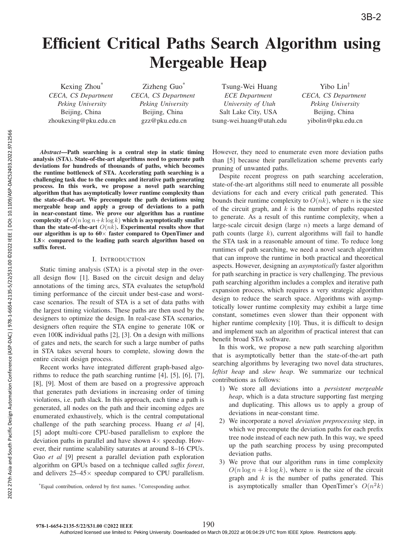# Efficient Critical Paths Search Algorithm using Mergeable Heap

Kexing Zhou\* *CECA, CS Department Peking University* Beijing, China zhoukexing@pku.edu.cn

Zizheng Guo\* *CECA, CS Department Peking University* Beijing, China gzz@pku.edu.cn

Tsung-Wei Huang *ECE Department University of Utah* Salt Lake City, USA tsung-wei.huang@utah.edu

Yibo Lin† *CECA, CS Department Peking University* Beijing, China yibolin@pku.edu.cn

*Abstract*—Path searching is a central step in static timing analysis (STA). State-of-the-art algorithms need to generate path deviations for hundreds of thousands of paths, which becomes the runtime bottleneck of STA. Accelerating path searching is a challenging task due to the complex and iterative path generating process. In this work, we propose a novel path searching algorithm that has asymptotically lower runtime complexity than the state-of-the-art. We precompute the path deviations using mergeable heap and apply a group of deviations to a path in near-constant time. We prove our algorithm has a runtime complexity of  $O(n \log n + k \log k)$  which is asymptotically smaller than the state-of-the-art  $O(nk)$ . Experimental results show that our algorithm is up to  $60\times$  faster compared to OpenTimer and  $1.8\times$  compared to the leading path search algorithm based on suffix forest.

## I. INTRODUCTION

Static timing analysis (STA) is a pivotal step in the overall design flow [1]. Based on the circuit design and delay annotations of the timing arcs, STA evaluates the setup/hold timing performance of the circuit under best-case and worstcase scenarios. The result of STA is a set of data paths with the largest timing violations. These paths are then used by the designers to optimize the design. In real-case STA scenarios, designers often require the STA engine to generate 10K or even 100K individual paths [2], [3]. On a design with millions of gates and nets, the search for such a large number of paths in STA takes several hours to complete, slowing down the entire circuit design process.

Recent works have integrated different graph-based algorithms to reduce the path searching runtime [4], [5], [6], [7], [8], [9]. Most of them are based on a progressive approach that generates path deviations in increasing order of timing violations, i.e. path slack. In this approach, each time a path is generated, all nodes on the path and their incoming edges are enumerated exhaustively, which is the central computational challenge of the path searching process. Huang *et al* [4], [5] adopt multi-core CPU-based parallelism to explore the deviation paths in parallel and have shown  $4\times$  speedup. However, their runtime scalability saturates at around 8–16 CPUs. Guo *et al* [9] present a parallel deviation path exploration algorithm on GPUs based on a technique called *suffix forest*, and delivers  $25-45\times$  speedup compared to CPU parallelism.

\*Equal contribution, ordered by first names. †Corresponding author.

However, they need to enumerate even more deviation paths than [5] because their parallelization scheme prevents early pruning of unwanted paths.

Despite recent progress on path searching acceleration, state-of-the-art algorithms still need to enumerate all possible deviations for each and every critical path generated. This bounds their runtime complexity to  $O(nk)$ , where n is the size of the circuit graph, and  $k$  is the number of paths requested to generate. As a result of this runtime complexity, when a large-scale circuit design (large  $n$ ) meets a large demand of path counts (large  $k$ ), current algorithms will fail to handle the STA task in a reasonable amount of time. To reduce long runtimes of path searching, we need a novel search algorithm that can improve the runtime in both practical and theoretical aspects. However, designing an *asymptotically* faster algorithm for path searching in practice is very challenging. The previous path searching algorithm includes a complex and iterative path expansion process, which requires a very strategic algorithm design to reduce the search space. Algorithms with asymptotically lower runtime complexity may exhibit a large time constant, sometimes even slower than their opponent with higher runtime complexity [10]. Thus, it is difficult to design and implement such an algorithm of practical interest that can benefit broad STA software.

In this work, we propose a new path searching algorithm that is asymptotically better than the state-of-the-art path searching algorithms by leveraging two novel data structures, *leftist heap* and *skew heap*. We summarize our technical contributions as follows:

- 1) We store all deviations into a *persistent mergeable heap*, which is a data structure supporting fast merging and duplicating. This allows us to apply a group of deviations in near-constant time.
- 2) We incorporate a novel *deviation preprocessing* step, in which we precompute the deviation paths for each prefix tree node instead of each new path. In this way, we speed up the path searching process by using precomputed deviation paths.
- 3) We prove that our algorithm runs in time complexity  $O(n \log n + k \log k)$ , where *n* is the size of the circuit graph and  $k$  is the number of paths generated. This is asymptotically smaller than OpenTimer's  $O(n^2k)$

190

Authorized licensed use limited to: Peking University. Downloaded on March 09,2022 at 06:04:29 UTC from IEEE Xplore. Restrictions apply.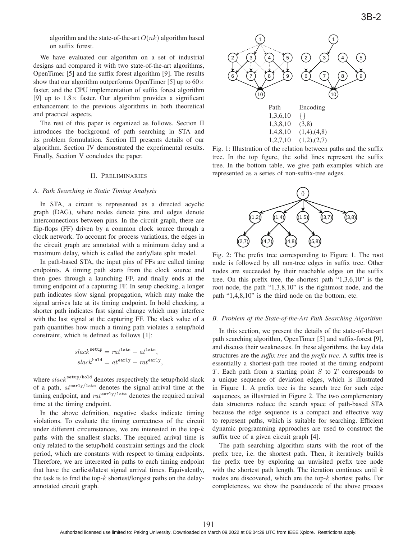algorithm and the state-of-the-art  $O(nk)$  algorithm based on suffix forest.

We have evaluated our algorithm on a set of industrial designs and compared it with two state-of-the-art algorithms, OpenTimer [5] and the suffix forest algorithm [9]. The results show that our algorithm outperforms OpenTimer [5] up to  $60 \times$ faster, and the CPU implementation of suffix forest algorithm [9] up to  $1.8\times$  faster. Our algorithm provides a significant enhancement to the previous algorithms in both theoretical and practical aspects.

The rest of this paper is organized as follows. Section II introduces the background of path searching in STA and its problem formulation. Section III presents details of our algorithm. Section IV demonstrated the experimental results. Finally, Section V concludes the paper.

#### II. PRELIMINARIES

### *A. Path Searching in Static Timing Analysis*

In STA, a circuit is represented as a directed acyclic graph (DAG), where nodes denote pins and edges denote interconnections between pins. In the circuit graph, there are flip-flops (FF) driven by a common clock source through a clock network. To account for process variations, the edges in the circuit graph are annotated with a minimum delay and a maximum delay, which is called the early/late split model.

In path-based STA, the input pins of FFs are called timing endpoints. A timing path starts from the clock source and then goes through a launching FF, and finally ends at the timing endpoint of a capturing FF. In setup checking, a longer path indicates slow signal propagation, which may make the signal arrives late at its timing endpoint. In hold checking, a shorter path indicates fast signal change which may interfere with the last signal at the capturing FF. The slack value of a path quantifies how much a timing path violates a setup/hold constraint, which is defined as follows [1]:

$$
slacksetup = ratlate - atlate,slackhold = atearly - ratearly,
$$

where  $slack^{\text{setup/hold}}$  denotes respectively the setup/hold slack of a path,  $at^{\text{early}/\text{late}}$  denotes the signal arrival time at the timing endpoint, and  $rat^{\text{early}/\text{late}}$  denotes the required arrival time at the timing endpoint.

In the above definition, negative slacks indicate timing violations. To evaluate the timing correctness of the circuit under different circumstances, we are interested in the top- $k$ paths with the smallest slacks. The required arrival time is only related to the setup/hold constraint settings and the clock period, which are constants with respect to timing endpoints. Therefore, we are interested in paths to each timing endpoint that have the earliest/latest signal arrival times. Equivalently, the task is to find the top- $k$  shortest/longest paths on the delayannotated circuit graph.



Fig. 1: Illustration of the relation between paths and the suffix tree. In the top figure, the solid lines represent the suffix tree. In the bottom table, we give path examples which are represented as a series of non-suffix-tree edges.



Fig. 2: The prefix tree corresponding to Figure 1. The root node is followed by all non-tree edges in suffix tree. Other nodes are succeeded by their reachable edges on the suffix tree. On this prefix tree, the shortest path "1,3,6,10" is the root node, the path "1,3,8,10" is the rightmost node, and the path "1,4,8,10" is the third node on the bottom, etc.

## *B. Problem of the State-of-the-Art Path Searching Algorithm*

In this section, we present the details of the state-of-the-art path searching algorithm, OpenTimer [5] and suffix-forest [9], and discuss their weaknesses. In these algorithms, the key data structures are the *suffix tree* and the *prefix tree*. A suffix tree is essentially a shortest-path tree rooted at the timing endpoint  $T$ . Each path from a starting point  $S$  to  $T$  corresponds to a unique sequence of deviation edges, which is illustrated in Figure 1. A prefix tree is the search tree for such edge sequences, as illustrated in Figure 2. The two complementary data structures reduce the search space of path-based STA because the edge sequence is a compact and effective way to represent paths, which is suitable for searching. Efficient dynamic programming approaches are used to construct the suffix tree of a given circuit graph [4].

The path searching algorithm starts with the root of the prefix tree, i.e. the shortest path. Then, it iteratively builds the prefix tree by exploring an unvisited prefix tree node with the shortest path length. The iteration continues until  $k$ nodes are discovered, which are the top- $k$  shortest paths. For completeness, we show the pseudocode of the above process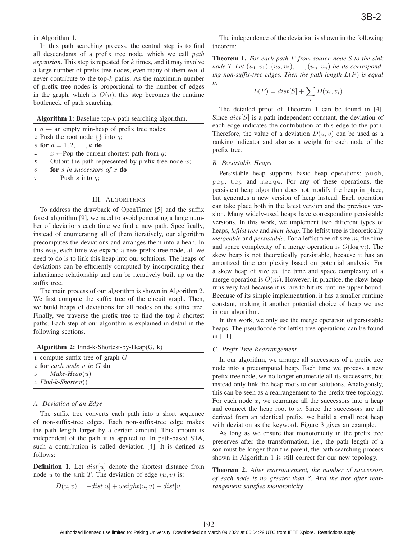in Algorithm 1.

In this path searching process, the central step is to find all descendants of a prefix tree node, which we call *path expansion*. This step is repeated for k times, and it may involve a large number of prefix tree nodes, even many of them would never contribute to the top- $k$  paths. As the maximum number of prefix tree nodes is proportional to the number of edges in the graph, which is  $O(n)$ , this step becomes the runtime bottleneck of path searching.

|                | <b>Algorithm 1:</b> Baseline top- $k$ path searching algorithm. |  |  |  |  |  |
|----------------|-----------------------------------------------------------------|--|--|--|--|--|
|                | $1 \, q \leftarrow$ an empty min-heap of prefix tree nodes;     |  |  |  |  |  |
|                | 2 Push the root node $\{\}\$ into q;                            |  |  |  |  |  |
|                | 3 for $d = 1, 2, , k$ do                                        |  |  |  |  |  |
| $\overline{4}$ | $x \leftarrow$ Pop the current shortest path from q;            |  |  |  |  |  |
| 5              | Output the path represented by prefix tree node $x$ ;           |  |  |  |  |  |
| 6              | for $s$ in successors of $x$ do                                 |  |  |  |  |  |
| $\overline{7}$ | Push s into $q$ ;                                               |  |  |  |  |  |

## III. ALGORITHMS

To address the drawback of OpenTimer [5] and the suffix forest algorithm [9], we need to avoid generating a large number of deviations each time we find a new path. Specifically, instead of enumerating all of them iteratively, our algorithm precomputes the deviations and arranges them into a heap. In this way, each time we expand a new prefix tree node, all we need to do is to link this heap into our solutions. The heaps of deviations can be efficiently computed by incorporating their inheritance relationship and can be iteratively built up on the suffix tree.

The main process of our algorithm is shown in Algorithm 2. We first compute the suffix tree of the circuit graph. Then, we build heaps of deviations for all nodes on the suffix tree. Finally, we traverse the prefix tree to find the top- $k$  shortest paths. Each step of our algorithm is explained in detail in the following sections.

| <b>Algorithm 2:</b> Find-k-Shortest-by-Heap $(G, k)$ |                                    |  |  |  |  |  |  |  |
|------------------------------------------------------|------------------------------------|--|--|--|--|--|--|--|
|                                                      | 1 compute suffix tree of graph $G$ |  |  |  |  |  |  |  |
|                                                      | <b>2 for</b> each node u in $G$ do |  |  |  |  |  |  |  |
|                                                      | 3 Make-Heap $(u)$                  |  |  |  |  |  |  |  |
|                                                      | $4 Find-k-Shortest()$              |  |  |  |  |  |  |  |
|                                                      |                                    |  |  |  |  |  |  |  |

## *A. Deviation of an Edge*

The suffix tree converts each path into a short sequence of non-suffix-tree edges. Each non-suffix-tree edge makes the path length larger by a certain amount. This amount is independent of the path it is applied to. In path-based STA, such a contribution is called deviation [4]. It is defined as follows:

**Definition 1.** Let  $dist[u]$  denote the shortest distance from node u to the sink T. The deviation of edge  $(u, v)$  is:

$$
D(u, v) = -dist[u] + weight(u, v) + dist[v]
$$

The independence of the deviation is shown in the following theorem:

Theorem 1. *For each path* P *from source node S to the sink node T. Let*  $(u_1, v_1), (u_2, v_2), \ldots, (u_n, v_n)$  *be its corresponding non-suffix-tree edges. Then the path length* <sup>L</sup>(P) *is equal to*

$$
L(P) = dist[S] + \sum_{i} D(u_i, v_i)
$$

The detailed proof of Theorem 1 can be found in [4]. Since  $dist[S]$  is a path-independent constant, the deviation of each edge indicates the contribution of this edge to the path. Therefore, the value of a deviation  $D(u, v)$  can be used as a ranking indicator and also as a weight for each node of the prefix tree.

### *B. Persistable Heaps*

Persistable heap supports basic heap operations: push, pop, top and merge. For any of these operations, the persistent heap algorithm does not modify the heap in place, but generates a new version of heap instead. Each operation can take place both in the latest version and the previous version. Many widely-used heaps have corresponding persistable versions. In this work, we implement two different types of heaps, *leftist tree* and *skew heap*. The leftist tree is theoretically *mergeable* and *persistable*. For a leftist tree of size m, the time and space complexity of a merge operation is  $O(\log m)$ . The skew heap is not theoretically persistable, because it has an amortized time complexity based on potential analysis. For a skew heap of size  $m$ , the time and space complexity of a merge operation is  $O(m)$ . However, in practice, the skew heap runs very fast because it is rare to hit its runtime upper bound. Because of its simple implementation, it has a smaller runtime constant, making it another potential choice of heap we use in our algorithm.

In this work, we only use the merge operation of persistable heaps. The pseudocode for leftist tree operations can be found in [11].

## *C. Prefix Tree Rearrangement*

In our algorithm, we arrange all successors of a prefix tree node into a precomputed heap. Each time we process a new prefix tree node, we no longer enumerate all its successors, but instead only link the heap roots to our solutions. Analogously, this can be seen as a rearrangement to the prefix tree topology. For each node  $x$ , we rearrange all the successors into a heap and connect the heap root to  $x$ . Since the successors are all derived from an identical prefix, we build a small root heap with deviation as the keyword. Figure 3 gives an example.

As long as we ensure that monotonicity in the prefix tree preserves after the transformation, i.e., the path length of a son must be longer than the parent, the path searching process shown in Algorithm 1 is still correct for our new topology.

Theorem 2. *After rearrangement, the number of successors of each node is no greater than 3. And the tree after rearrangement satisfies monotonicity.*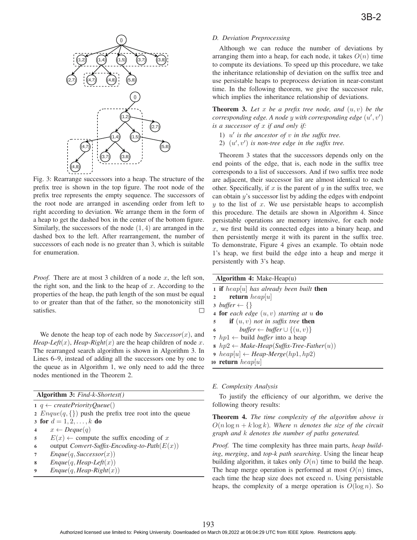

Fig. 3: Rearrange successors into a heap. The structure of the prefix tree is shown in the top figure. The root node of the prefix tree represents the empty sequence. The successors of the root node are arranged in ascending order from left to right according to deviation. We arrange them in the form of a heap to get the dashed box in the center of the bottom figure. Similarly, the successors of the node  $(1, 4)$  are arranged in the dashed box to the left. After rearrangement, the number of successors of each node is no greater than 3, which is suitable for enumeration.

*Proof.* There are at most 3 children of a node  $x$ , the left son, the right son, and the link to the heap of  $x$ . According to the properties of the heap, the path length of the son must be equal to or greater than that of the father, so the monotonicity still satisfies.  $\Box$ 

We denote the heap top of each node by  $Successor(x)$ , and *Heap-Left* $(x)$ *, Heap-Right* $(x)$  are the heap children of node x. The rearranged search algorithm is shown in Algorithm 3. In Lines 6–9, instead of adding all the successors one by one to the queue as in Algorithm 1, we only need to add the three nodes mentioned in the Theorem 2.

|  |  | <b>Algorithm 3:</b> Find-k-Shortest() |
|--|--|---------------------------------------|
|--|--|---------------------------------------|

1  $q \leftarrow \text{createPriorityQueue}()$ 

2  $Engue(q, \{\})$  push the prefix tree root into the queue

3 for  $d = 1, 2, ..., k$  do<br>4  $x \leftarrow \text{Deaue}(a)$ 

- 4  $x \leftarrow \text{Deque}(q)$ <br>5  $E(x) \leftarrow \text{comp}$
- 5  $E(x) \leftarrow$  compute the suffix encoding of x<br>6 output Convert-Suffix-Encoding-to-Path(E) 6 output *Convert-Suffix-Encoding-to-Path* $(E(x))$ <br>7 Enguela Successor(x)
- 7  $Enque(q, Successor(x))$ <br>8  $Enque(q, Hean-Left(x))$
- $Enque(q, Heap-Left(x))$
- $Engue(q,Heap-Right(x))$

## *D. Deviation Preprocessing*

Although we can reduce the number of deviations by arranging them into a heap, for each node, it takes  $O(n)$  time to compute its deviations. To speed up this procedure, we take the inheritance relationship of deviation on the suffix tree and use persistable heaps to preprocess deviation in near-constant time. In the following theorem, we give the successor rule, which implies the inheritance relationship of deviations.

**Theorem 3.** Let  $x$  be a prefix tree node, and  $(u, v)$  be the  $corresponding edge. A node y with corresponding edge  $(u', v')$  is a successor of x if and only if:$ *is a successor of* x *if and only if:*

- 1)  $u'$  is the ancestor of  $v$  in the suffix tree.
- 2)  $(u', v')$  is non-tree edge in the suffix tree.

Theorem 3 states that the successors depends only on the end points of the edge, that is, each node in the suffix tree corresponds to a list of successors. And if two suffix tree node are adjacent, their successor list are almost identical to each other. Specifically, if  $x$  is the parent of  $y$  in the suffix tree, we can obtain y's successor list by adding the edges with endpoint  $y$  to the list of  $x$ . We use persistable heaps to accomplish this procedure. The details are shown in Algorithm 4. Since persistable operations are memory intensive, for each node  $x$ , we first build its connected edges into a binary heap, and then persistently merge it with its parent in the suffix tree. To demonstrate, Figure 4 gives an example. To obtain node 1's heap, we first build the edge into a heap and merge it persistently with 3's heap.

|   | Algorithm 4: Make-Heap(u)                                        |  |  |  |  |  |  |  |
|---|------------------------------------------------------------------|--|--|--|--|--|--|--|
|   | 1 <b>if</b> heap   u  has already been built <b>then</b>         |  |  |  |  |  |  |  |
|   | <b>return</b> heap[u]<br>$2^{\circ}$                             |  |  |  |  |  |  |  |
|   | 3 buffer $\leftarrow \{\}$                                       |  |  |  |  |  |  |  |
|   | 4 for each edge $(u, v)$ starting at u do                        |  |  |  |  |  |  |  |
|   | <b>if</b> $(u, v)$ not in suffix tree <b>then</b><br>$5^{\circ}$ |  |  |  |  |  |  |  |
| 6 | $buffer \leftarrow buffer \cup \{(u, v)\}$                       |  |  |  |  |  |  |  |
|   | 7 $hpl \leftarrow$ build <i>buffer</i> into a heap               |  |  |  |  |  |  |  |
|   | $k_1, k_2 \rightarrow Make-Heap(Suffix-Tree-Father(u))$          |  |  |  |  |  |  |  |
|   | 9 $heap[u] \leftarrow \text{Heap-Merge}(hpl, hp2)$               |  |  |  |  |  |  |  |
|   | 10 <b>return</b> <i>heap</i> [ <i>u</i> ]                        |  |  |  |  |  |  |  |
|   |                                                                  |  |  |  |  |  |  |  |

## *E. Complexity Analysis*

To justify the efficiency of our algorithm, we derive the following theory results:

Theorem 4. *The time complexity of the algorithm above is*  $O(n \log n + k \log k)$ . Where *n* denotes the size of the circuit *graph and* k *denotes the number of paths generated.*

*Proof.* The time complexity has three main parts, *heap building*, *merging*, and *top-k path searching*. Using the linear heap building algorithm, it takes only  $O(n)$  time to build the heap. The heap merge operation is performed at most  $O(n)$  times, each time the heap size does not exceed  $n$ . Using persistable heaps, the complexity of a merge operation is  $O(\log n)$ . So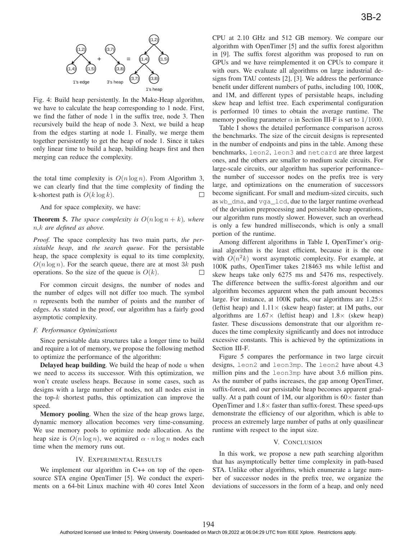

Fig. 4: Build heap persistently. In the Make-Heap algorithm, we have to calculate the heap corresponding to 1 node. First, we find the father of node 1 in the suffix tree, node 3. Then recursively build the heap of node 3. Next, we build a heap from the edges starting at node 1. Finally, we merge them together persistently to get the heap of node 1. Since it takes only linear time to build a heap, building heaps first and then merging can reduce the complexity.

the total time complexity is  $O(n \log n)$ . From Algorithm 3, we can clearly find that the time complexity of finding the k-shortest path is  $O(k \log k)$ .  $\Box$ 

And for space complexity, we have:

**Theorem 5.** *The space complexity is*  $O(n \log n + k)$ *, where* n*,*k *are defined as above.*

*Proof.* The space complexity has two main parts, *the persistable heap*, and *the search queue*. For the persistable heap, the space complexity is equal to its time complexity,  $O(n \log n)$ . For the search queue, there are at most 3k push operations. So the size of the queue is  $O(k)$ . operations. So the size of the queue is  $O(k)$ .

For common circuit designs, the number of nodes and the number of edges will not differ too much. The symbol n represents both the number of points and the number of edges. As stated in the proof, our algorithm has a fairly good asymptotic complexity.

## *F. Performance Optimizations*

Since persistable data structures take a longer time to build and require a lot of memory, we propose the following method to optimize the performance of the algorithm:

**Delayed heap building.** We build the heap of node  $u$  when we need to access its successor. With this optimization, we won't create useless heaps. Because in some cases, such as designs with a large number of nodes, not all nodes exist in the top- $k$  shortest paths, this optimization can improve the speed.

Memory pooling. When the size of the heap grows large, dynamic memory allocation becomes very time-consuming. We use memory pools to optimize node allocation. As the heap size is  $O(n \log n)$ , we acquired  $\alpha \cdot n \log n$  nodes each time when the memory runs out.

## IV. EXPERIMENTAL RESULTS

We implement our algorithm in C++ on top of the opensource STA engine OpenTimer [5]. We conduct the experiments on a 64-bit Linux machine with 40 cores Intel Xeon CPU at 2.10 GHz and 512 GB memory. We compare our algorithm with OpenTimer [5] and the suffix forest algorithm in [9]. The suffix forest algorithm was proposed to run on GPUs and we have reimplemented it on CPUs to compare it with ours. We evaluate all algorithms on large industrial designs from TAU contests [2], [3]. We address the performance benefit under different numbers of paths, including 100, 100K, and 1M, and different types of persistable heaps, including skew heap and leftist tree. Each experimental configuration is performed 10 times to obtain the average runtime. The memory pooling parameter  $\alpha$  in Section III-F is set to 1/1000.

Table I shows the detailed performance comparison across the benchmarks. The size of the circuit designs is represented in the number of endpoints and pins in the table. Among these benchmarks, leon2, leon3 and netcard are three largest ones, and the others are smaller to medium scale circuits. For large-scale circuits, our algorithm has superior performance– the number of successor nodes on the prefix tree is very large, and optimizations on the enumeration of successors become significant. For small and medium-sized circuits, such as wb\_dma, and vga\_lcd, due to the larger runtime overhead of the deviation preprocessing and persistable heap operations, our algorithm runs mostly slower. However, such an overhead is only a few hundred milliseconds, which is only a small portion of the runtime.

Among different algorithms in Table I, OpenTimer's original algorithm is the least efficient, because it is the one with  $O(n^2k)$  worst asymptotic complexity. For example, at 100K paths, OpenTimer takes 218463 ms while leftist and skew heaps take only 6275 ms and 5476 ms, respectively. The difference between the suffix-forest algorithm and our algorithm becomes apparent when the path amount becomes large. For instance, at 100K paths, our algorithms are  $1.25\times$ (leftist heap) and  $1.11 \times$  (skew heap) faster; at 1M paths, our algorithms are  $1.67 \times$  (leftist heap) and  $1.8 \times$  (skew heap) faster. These discussions demonstrate that our algorithm reduces the time complexity significantly and does not introduce excessive constants. This is achieved by the optimizations in Section III-F.

Figure 5 compares the performance in two large circuit designs, leon2 and leon3mp. The leon2 have about 4.3 million pins and the leon3mp have about 3.6 million pins. As the number of paths increases, the gap among OpenTimer, suffix-forest, and our persistable heap becomes apparent gradually. At a path count of 1M, our algorithm is  $60\times$  faster than OpenTimer and  $1.8\times$  faster than suffix-forest. These speed-ups demonstrate the efficiency of our algorithm, which is able to process an extremely large number of paths at only quasilinear runtime with respect to the input size.

### V. CONCLUSION

In this work, we propose a new path searching algorithm that has asymptotically better time complexity in path-based STA. Unlike other algorithms, which enumerate a large number of successor nodes in the prefix tree, we organize the deviations of successors in the form of a heap, and only need